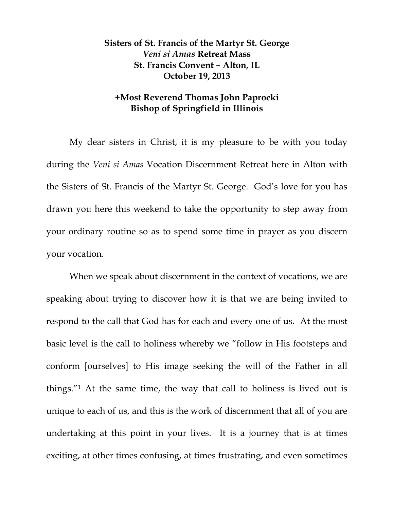## **Sisters of St. Francis of the Martyr St. George**  *Veni si Amas* **Retreat Mass St. Francis Convent – Alton, IL October 19, 2013**

## **+Most Reverend Thomas John Paprocki Bishop of Springfield in Illinois**

 My dear sisters in Christ, it is my pleasure to be with you today during the *Veni si Amas* Vocation Discernment Retreat here in Alton with the Sisters of St. Francis of the Martyr St. George. God's love for you has drawn you here this weekend to take the opportunity to step away from your ordinary routine so as to spend some time in prayer as you discern your vocation.

 When we speak about discernment in the context of vocations, we are speaking about trying to discover how it is that we are being invited to respond to the call that God has for each and every one of us. At the most basic level is the call to holiness whereby we "follow in His footsteps and conform [ourselves] to His image seeking the will of the Father in all things."1 At the same time, the way that call to holiness is lived out is unique to each of us, and this is the work of discernment that all of you are undertaking at this point in your lives. It is a journey that is at times exciting, at other times confusing, at times frustrating, and even sometimes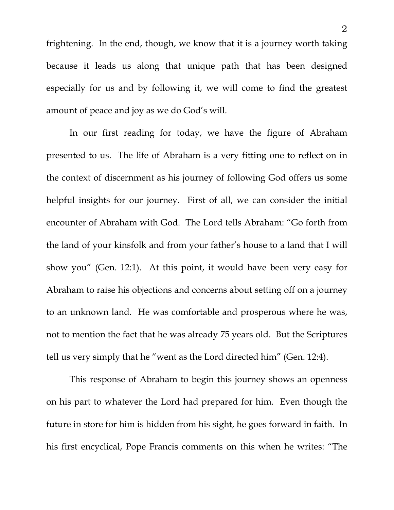frightening. In the end, though, we know that it is a journey worth taking because it leads us along that unique path that has been designed especially for us and by following it, we will come to find the greatest amount of peace and joy as we do God's will.

 In our first reading for today, we have the figure of Abraham presented to us. The life of Abraham is a very fitting one to reflect on in the context of discernment as his journey of following God offers us some helpful insights for our journey. First of all, we can consider the initial encounter of Abraham with God. The Lord tells Abraham: "Go forth from the land of your kinsfolk and from your father's house to a land that I will show you" (Gen. 12:1). At this point, it would have been very easy for Abraham to raise his objections and concerns about setting off on a journey to an unknown land. He was comfortable and prosperous where he was, not to mention the fact that he was already 75 years old. But the Scriptures tell us very simply that he "went as the Lord directed him" (Gen. 12:4).

This response of Abraham to begin this journey shows an openness on his part to whatever the Lord had prepared for him. Even though the future in store for him is hidden from his sight, he goes forward in faith. In his first encyclical, Pope Francis comments on this when he writes: "The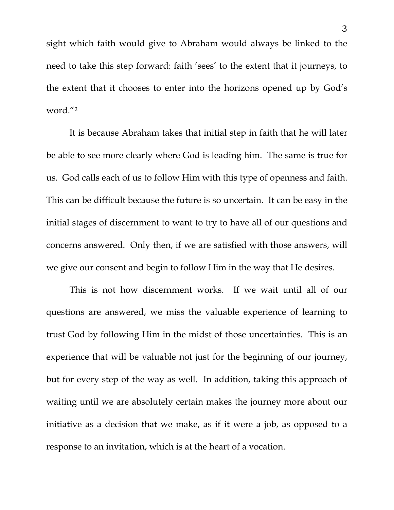sight which faith would give to Abraham would always be linked to the need to take this step forward: faith 'sees' to the extent that it journeys, to the extent that it chooses to enter into the horizons opened up by God's word."2

It is because Abraham takes that initial step in faith that he will later be able to see more clearly where God is leading him. The same is true for us. God calls each of us to follow Him with this type of openness and faith. This can be difficult because the future is so uncertain. It can be easy in the initial stages of discernment to want to try to have all of our questions and concerns answered. Only then, if we are satisfied with those answers, will we give our consent and begin to follow Him in the way that He desires.

This is not how discernment works. If we wait until all of our questions are answered, we miss the valuable experience of learning to trust God by following Him in the midst of those uncertainties. This is an experience that will be valuable not just for the beginning of our journey, but for every step of the way as well. In addition, taking this approach of waiting until we are absolutely certain makes the journey more about our initiative as a decision that we make, as if it were a job, as opposed to a response to an invitation, which is at the heart of a vocation.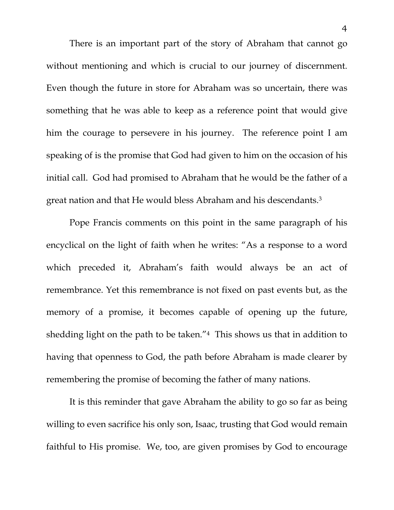There is an important part of the story of Abraham that cannot go without mentioning and which is crucial to our journey of discernment. Even though the future in store for Abraham was so uncertain, there was something that he was able to keep as a reference point that would give him the courage to persevere in his journey. The reference point I am speaking of is the promise that God had given to him on the occasion of his initial call. God had promised to Abraham that he would be the father of a great nation and that He would bless Abraham and his descendants.3

Pope Francis comments on this point in the same paragraph of his encyclical on the light of faith when he writes: "As a response to a word which preceded it, Abraham's faith would always be an act of remembrance. Yet this remembrance is not fixed on past events but, as the memory of a promise, it becomes capable of opening up the future, shedding light on the path to be taken."4 This shows us that in addition to having that openness to God, the path before Abraham is made clearer by remembering the promise of becoming the father of many nations.

It is this reminder that gave Abraham the ability to go so far as being willing to even sacrifice his only son, Isaac, trusting that God would remain faithful to His promise. We, too, are given promises by God to encourage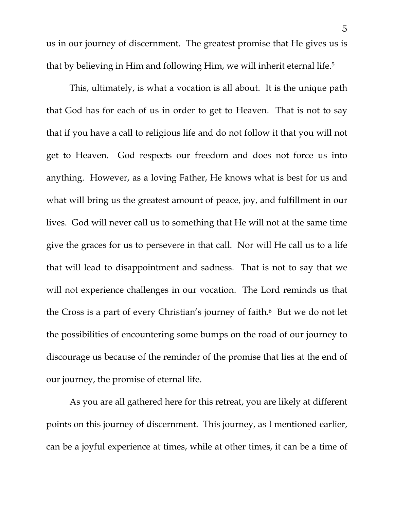us in our journey of discernment. The greatest promise that He gives us is that by believing in Him and following Him, we will inherit eternal life.5

This, ultimately, is what a vocation is all about. It is the unique path that God has for each of us in order to get to Heaven. That is not to say that if you have a call to religious life and do not follow it that you will not get to Heaven. God respects our freedom and does not force us into anything. However, as a loving Father, He knows what is best for us and what will bring us the greatest amount of peace, joy, and fulfillment in our lives. God will never call us to something that He will not at the same time give the graces for us to persevere in that call. Nor will He call us to a life that will lead to disappointment and sadness. That is not to say that we will not experience challenges in our vocation. The Lord reminds us that the Cross is a part of every Christian's journey of faith.<sup>6</sup> But we do not let the possibilities of encountering some bumps on the road of our journey to discourage us because of the reminder of the promise that lies at the end of our journey, the promise of eternal life.

 As you are all gathered here for this retreat, you are likely at different points on this journey of discernment. This journey, as I mentioned earlier, can be a joyful experience at times, while at other times, it can be a time of